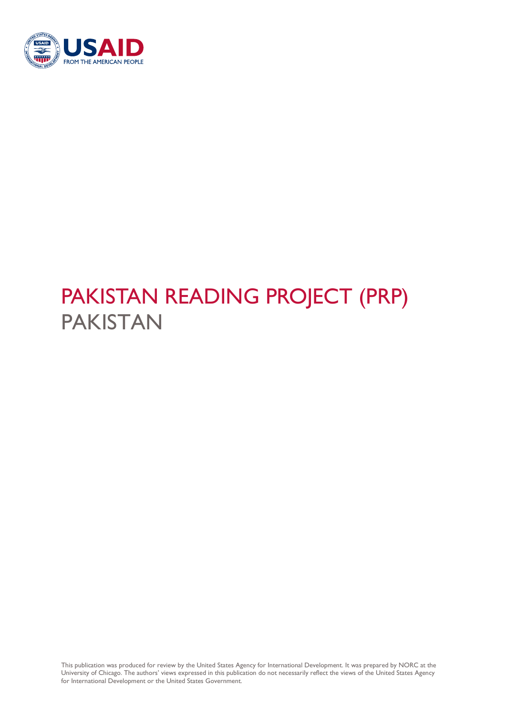

# PAKISTAN READING PROJECT (PRP) PAKISTAN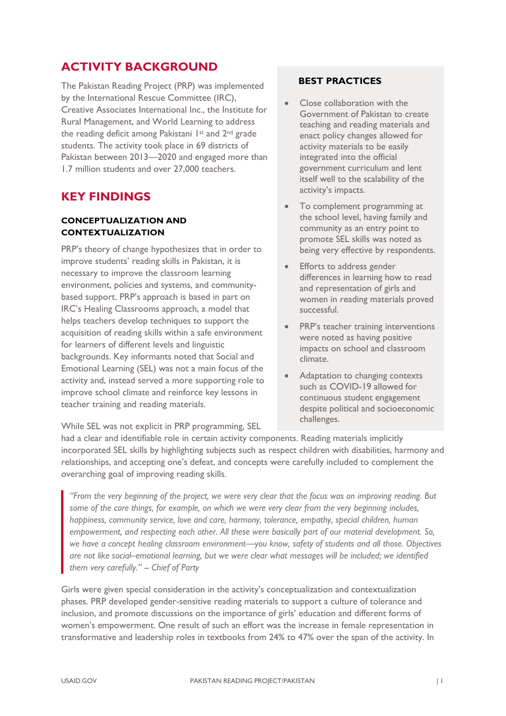## **ACTIVITY BACKGROUND**

The Pakistan Reading Project (PRP) was implemented by the International Rescue Committee (IRC), Creative Associates International Inc., the Institute for Rural Management, and World Learning to address the reading deficit among Pakistani 1st and 2nd grade students. The activity took place in 69 districts of Pakistan between 2013—2020 and engaged more than 1.7 million students and over 27,000 teachers.

## **KEY FINDINGS**

#### **CONCEPTUALIZATION AND CONTEXTUALIZATION**

PRP's theory of change hypothesizes that in order to improve students' reading skills in Pakistan, it is necessary to improve the classroom learning environment, policies and systems, and communitybased support. PRP's approach is based in part on IRC's Healing Classrooms approach, a model that helps teachers develop techniques to support the acquisition of reading skills within a safe environment for learners of different levels and linguistic backgrounds. Key informants noted that Social and Emotional Learning (SEL) was not a main focus of the activity and, instead served a more supporting role to improve school climate and reinforce key lessons in teacher training and reading materials.

### **BEST PRACTICES**

- Close collaboration with the Government of Pakistan to create teaching and reading materials and enact policy changes allowed for activity materials to be easily integrated into the official government curriculum and lent itself well to the scalability of the activity's impacts.
- To complement programming at the school level, having family and community as an entry point to promote SEL skills was noted as being very effective by respondents.
- **Efforts to address gender** differences in learning how to read and representation of girls and women in reading materials proved successful.
- PRP's teacher training interventions were noted as having positive impacts on school and classroom climate.
- Adaptation to changing contexts such as COVID-19 allowed for continuous student engagement despite political and socioeconomic challenges.

While SEL was not explicit in PRP programming, SEL

had a clear and identifiable role in certain activity components. Reading materials implicitly incorporated SEL skills by highlighting subjects such as respect children with disabilities, harmony and relationships, and accepting one's defeat, and concepts were carefully included to complement the overarching goal of improving reading skills.

*"From the very beginning of the project, we were very clear that the focus was on improving reading. But some of the core things, for example, on which we were very clear from the very beginning includes, happiness, community service, love and care, harmony, tolerance, empathy, special children, human empowerment, and respecting each other. All these were basically part of our material development. So, we have a concept healing classroom environment—you know, safety of students and all those. Objectives are not like social–emotional learning, but we were clear what messages will be included; we identified them very carefully." -- Chief of Party* 

Girls were given special consideration in the activity's conceptualization and contextualization phases. PRP developed gender-sensitive reading materials to support a culture of tolerance and inclusion, and promote discussions on the importance of girls' education and different forms of women's empowerment. One result of such an effort was the increase in female representation in transformative and leadership roles in textbooks from 24% to 47% over the span of the activity. In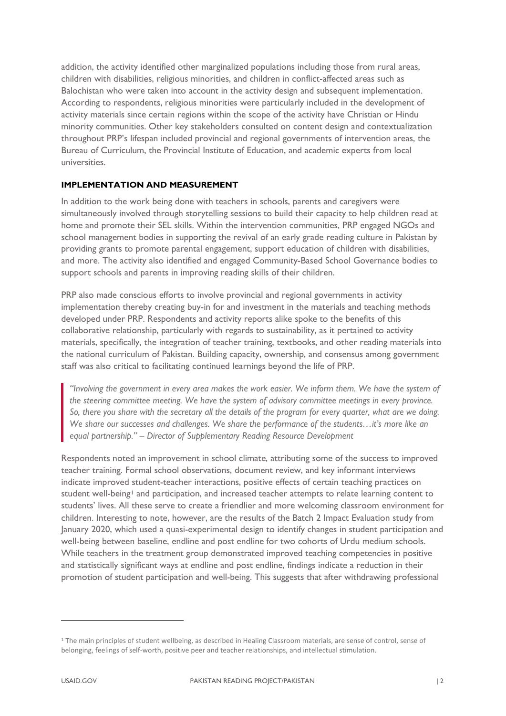addition, the activity identified other marginalized populations including those from rural areas, children with disabilities, religious minorities, and children in conflict-affected areas such as Balochistan who were taken into account in the activity design and subsequent implementation. According to respondents, religious minorities were particularly included in the development of activity materials since certain regions within the scope of the activity have Christian or Hindu minority communities. Other key stakeholders consulted on content design and contextualization throughout PRP's lifespan included provincial and regional governments of intervention areas, the Bureau of Curriculum, the Provincial Institute of Education, and academic experts from local universities.

#### **IMPLEMENTATION AND MEASUREMENT**

In addition to the work being done with teachers in schools, parents and caregivers were simultaneously involved through storytelling sessions to build their capacity to help children read at home and promote their SEL skills. Within the intervention communities, PRP engaged NGOs and school management bodies in supporting the revival of an early grade reading culture in Pakistan by providing grants to promote parental engagement, support education of children with disabilities, and more. The activity also identified and engaged Community-Based School Governance bodies to support schools and parents in improving reading skills of their children.

PRP also made conscious efforts to involve provincial and regional governments in activity implementation thereby creating buy-in for and investment in the materials and teaching methods developed under PRP. Respondents and activity reports alike spoke to the benefits of this collaborative relationship, particularly with regards to sustainability, as it pertained to activity materials, specifically, the integration of teacher training, textbooks, and other reading materials into the national curriculum of Pakistan. Building capacity, ownership, and consensus among government staff was also critical to facilitating continued learnings beyond the life of PRP.

*"Involving the government in every area makes the work easier. We inform them. We have the system of the steering committee meeting. We have the system of advisory committee meetings in every province. So, there you share with the secretary all the details of the program for every quarter, what are we doing. We share our successes and challenges. We share the performance of the students…it's more like an equal partnership." – Director of Supplementary Reading Resource Development*

Respondents noted an improvement in school climate, attributing some of the success to improved teacher training. Formal school observations, document review, and key informant interviews indicate improved student-teacher interactions, positive effects of certain teaching practices on student well-being<sup>[1](#page-2-0)</sup> and participation, and increased teacher attempts to relate learning content to students' lives. All these serve to create a friendlier and more welcoming classroom environment for children. Interesting to note, however, are the results of the Batch 2 Impact Evaluation study from January 2020, which used a quasi-experimental design to identify changes in student participation and well-being between baseline, endline and post endline for two cohorts of Urdu medium schools. While teachers in the treatment group demonstrated improved teaching competencies in positive and statistically significant ways at endline and post endline, findings indicate a reduction in their promotion of student participation and well-being. This suggests that after withdrawing professional

 $\overline{a}$ 

<span id="page-2-0"></span><sup>&</sup>lt;sup>1</sup> The main principles of student wellbeing, as described in Healing Classroom materials, are sense of control, sense of belonging, feelings of self-worth, positive peer and teacher relationships, and intellectual stimulation.